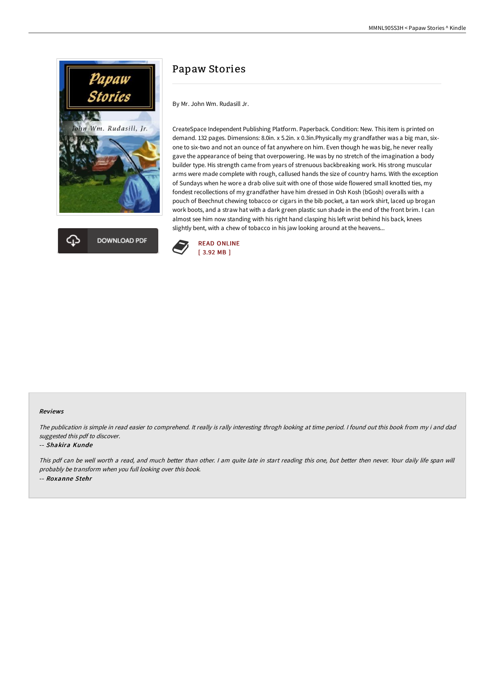



# Papaw Stories

By Mr. John Wm. Rudasill Jr.

CreateSpace Independent Publishing Platform. Paperback. Condition: New. This item is printed on demand. 132 pages. Dimensions: 8.0in. x 5.2in. x 0.3in.Physically my grandfather was a big man, sixone to six-two and not an ounce of fat anywhere on him. Even though he was big, he never really gave the appearance of being that overpowering. He was by no stretch of the imagination a body builder type. His strength came from years of strenuous backbreaking work. His strong muscular arms were made complete with rough, callused hands the size of country hams. With the exception of Sundays when he wore a drab olive suit with one of those wide flowered small knotted ties, my fondest recollections of my grandfather have him dressed in Osh Kosh (bGosh) overalls with a pouch of Beechnut chewing tobacco or cigars in the bib pocket, a tan work shirt, laced up brogan work boots, and a straw hat with a dark green plastic sun shade in the end of the front brim. I can almost see him now standing with his right hand clasping his left wrist behind his back, knees slightly bent, with a chew of tobacco in his jaw looking around at the heavens...



### Reviews

The publication is simple in read easier to comprehend. It really is rally interesting throgh looking at time period. I found out this book from my i and dad suggested this pdf to discover.

#### -- Shakira Kunde

This pdf can be well worth <sup>a</sup> read, and much better than other. <sup>I</sup> am quite late in start reading this one, but better then never. Your daily life span will probably be transform when you full looking over this book. -- Roxanne Stehr